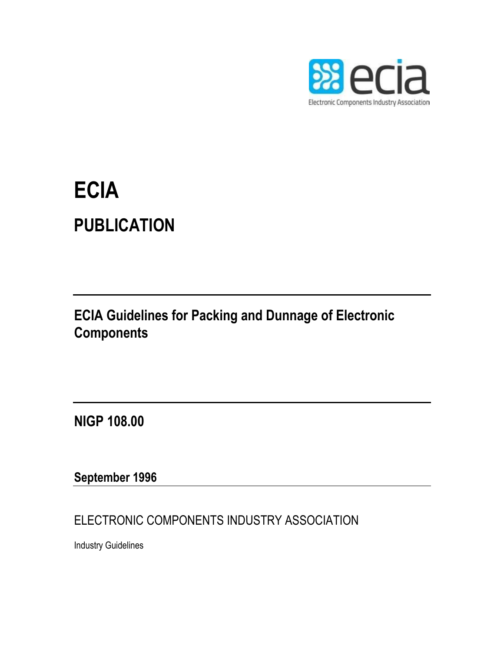

# **ECIA PUBLICATION**

## **ECIA Guidelines for Packing and Dunnage of Electronic Components**

**NIGP 108.00**

### **September 1996**

ELECTRONIC COMPONENTS INDUSTRY ASSOCIATION

Industry Guidelines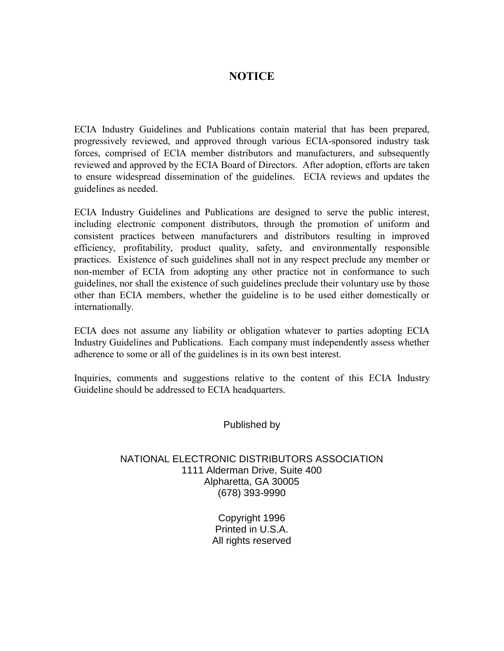#### **NOTICE**

ECIA Industry Guidelines and Publications contain material that has been prepared, progressively reviewed, and approved through various ECIA-sponsored industry task forces, comprised of ECIA member distributors and manufacturers, and subsequently reviewed and approved by the ECIA Board of Directors. After adoption, efforts are taken to ensure widespread dissemination of the guidelines. ECIA reviews and updates the guidelines as needed.

ECIA Industry Guidelines and Publications are designed to serve the public interest, including electronic component distributors, through the promotion of uniform and consistent practices between manufacturers and distributors resulting in improved efficiency, profitability, product quality, safety, and environmentally responsible practices. Existence of such guidelines shall not in any respect preclude any member or non-member of ECIA from adopting any other practice not in conformance to such guidelines, nor shall the existence of such guidelines preclude their voluntary use by those other than ECIA members, whether the guideline is to be used either domestically or internationally.

ECIA does not assume any liability or obligation whatever to parties adopting ECIA Industry Guidelines and Publications. Each company must independently assess whether adherence to some or all of the guidelines is in its own best interest.

Inquiries, comments and suggestions relative to the content of this ECIA Industry Guideline should be addressed to ECIA headquarters.

Published by

#### NATIONAL ELECTRONIC DISTRIBUTORS ASSOCIATION 1111 Alderman Drive, Suite 400 Alpharetta, GA 30005 (678) 393-9990

Copyright 1996 Printed in U.S.A. All rights reserved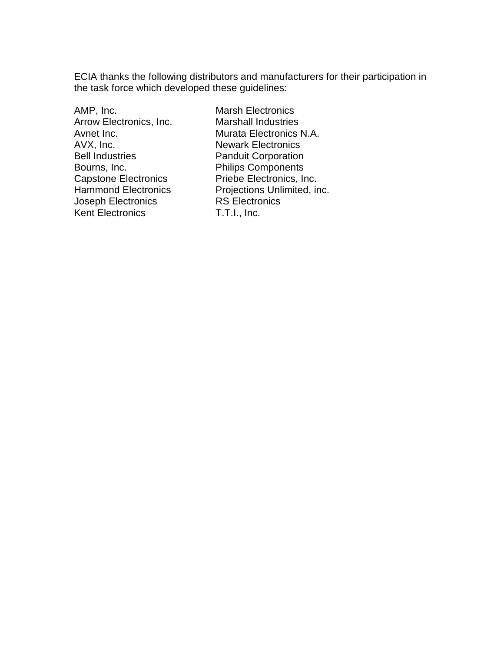ECIA thanks the following distributors and manufacturers for their participation in the task force which developed these guidelines:

AMP, Inc. **Marsh Electronics** Arrow Electronics, Inc. Marshall Industries AVX, Inc. Newark Electronics Bell Industries **Panduit Corporation** Bourns, Inc. **Philips Components** Joseph Electronics<br>
Kent Electronics

RS Electronics

T.T.I., Inc. Kent Electronics

Avnet Inc. **Murata Electronics N.A.** Capstone Electronics Priebe Electronics, Inc. Hammond Electronics Projections Unlimited, inc.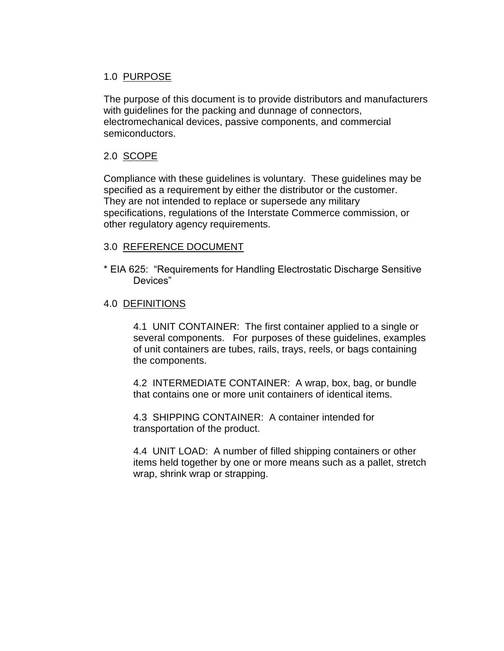#### 1.0 PURPOSE

The purpose of this document is to provide distributors and manufacturers with guidelines for the packing and dunnage of connectors, electromechanical devices, passive components, and commercial semiconductors.

#### 2.0 SCOPE

Compliance with these guidelines is voluntary. These guidelines may be specified as a requirement by either the distributor or the customer. They are not intended to replace or supersede any military specifications, regulations of the Interstate Commerce commission, or other regulatory agency requirements.

#### 3.0 REFERENCE DOCUMENT

\* EIA 625: "Requirements for Handling Electrostatic Discharge Sensitive Devices"

#### 4.0 DEFINITIONS

4.1 UNIT CONTAINER: The first container applied to a single or several components. For purposes of these guidelines, examples of unit containers are tubes, rails, trays, reels, or bags containing the components.

4.2 INTERMEDIATE CONTAINER: A wrap, box, bag, or bundle that contains one or more unit containers of identical items.

4.3 SHIPPING CONTAINER: A container intended for transportation of the product.

4.4 UNIT LOAD: A number of filled shipping containers or other items held together by one or more means such as a pallet, stretch wrap, shrink wrap or strapping.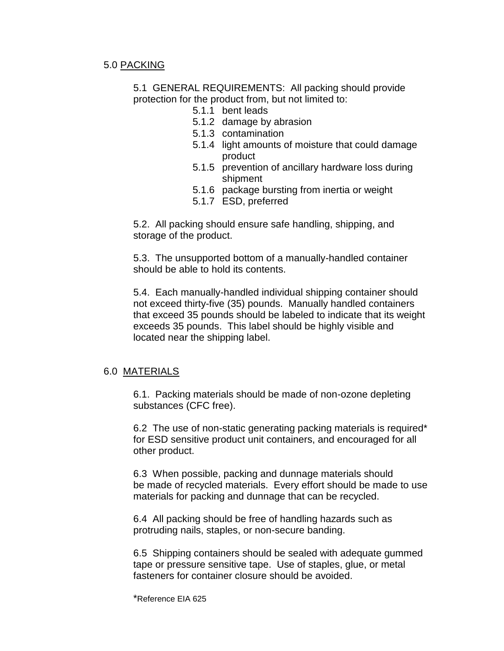#### 5.0 PACKING

5.1 GENERAL REQUIREMENTS: All packing should provide protection for the product from, but not limited to:

- 5.1.1 bent leads
- 5.1.2 damage by abrasion
- 5.1.3 contamination
- 5.1.4 light amounts of moisture that could damage product
- 5.1.5 prevention of ancillary hardware loss during shipment
- 5.1.6 package bursting from inertia or weight
- 5.1.7 ESD, preferred

5.2. All packing should ensure safe handling, shipping, and storage of the product.

5.3. The unsupported bottom of a manually-handled container should be able to hold its contents.

5.4. Each manually-handled individual shipping container should not exceed thirty-five (35) pounds. Manually handled containers that exceed 35 pounds should be labeled to indicate that its weight exceeds 35 pounds. This label should be highly visible and located near the shipping label.

#### 6.0 MATERIALS

6.1. Packing materials should be made of non-ozone depleting substances (CFC free).

6.2 The use of non-static generating packing materials is required\* for ESD sensitive product unit containers, and encouraged for all other product.

6.3 When possible, packing and dunnage materials should be made of recycled materials. Every effort should be made to use materials for packing and dunnage that can be recycled.

6.4 All packing should be free of handling hazards such as protruding nails, staples, or non-secure banding.

6.5 Shipping containers should be sealed with adequate gummed tape or pressure sensitive tape. Use of staples, glue, or metal fasteners for container closure should be avoided.

\*Reference EIA 625